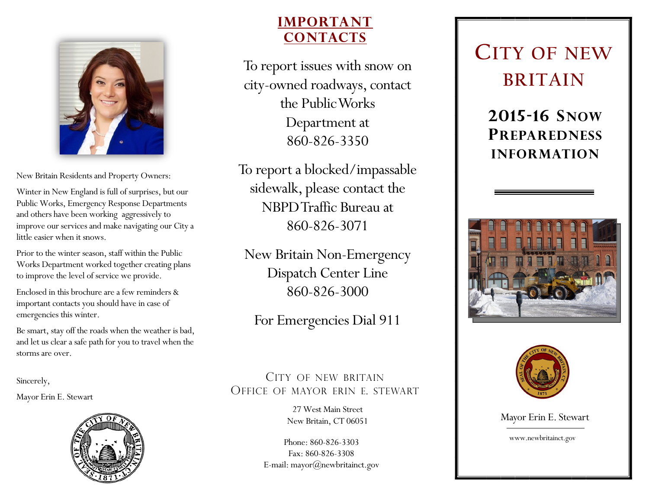

New Britain Residents and Property Owners:

Winter in New England is full of surprises, but our Public Works, Emergency Response Departments and others have been working aggressively to improve our services and make navigating our City a little easier when it snows.

Prior to the winter season, staff within the Public Works Department worked together creating plans to improve the level of service we provide.

Enclosed in this brochure are a few reminders & important contacts you should have in case of emergencies this winter.

Be smart, stay off the roads when the weather is bad, and let us clear a safe path for you to travel when the storms are over.

Sincerely,

Mayor Erin E. Stewart



### **IMPORTANT CONTACTS**

To report issues with snow on city-owned roadways, contact the Public Works Department at 860-826-3350

To report a blocked/impassable sidewalk, please contact the NBPD Traffic Bureau at 860-826-3071

New Britain Non-Emergency Dispatch Center Line 860-826-3000

For Emergencies Dial 911

CITY OF NEW BRITAIN OFFICE OF MAYOR ERIN E. STEWART

> 27 West Main Street New Britain, CT 06051

Phone: 860-826-3303 Fax: 860-826-3308 E-mail: mayor@newbritainct.gov

## **CITY OF NEW BRITAIN**

**2015-16 SNOW PREPAREDNESS INFORMATION**





Mayor Erin E. Stewart

www.newbritainct.gov